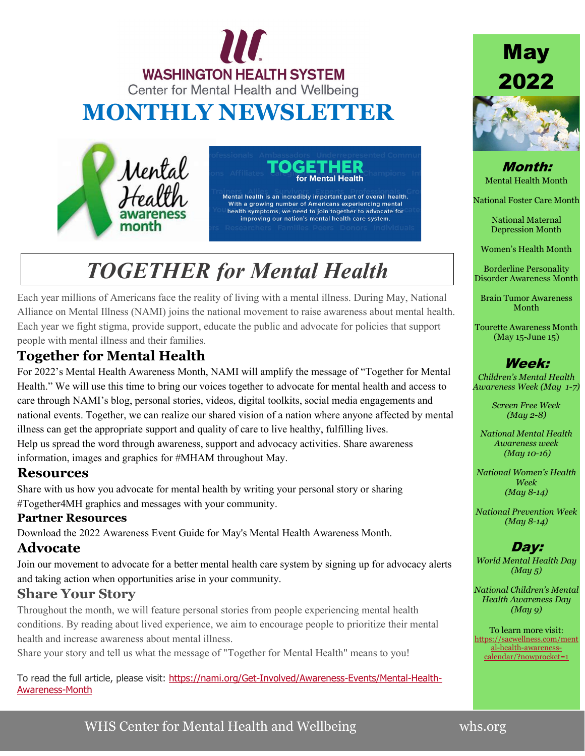

# **MONTHLY NEWSLETTER**





Mental health is an incredibly important part of overall health. With a growing number of Americans experiencing mental health symptoms, we need to join together to advocate for improving our nation's mental health care system.

# *TOGETHER for Mental Health*

Each year millions of Americans face the reality of living with a mental illness. During May, National Alliance on Mental Illness (NAMI) joins the national movement to raise awareness about mental health. Each year we fight stigma, provide support, educate the public and advocate for policies that support people with mental illness and their families.

### **Together for Mental Health**

For 2022's Mental Health Awareness Month, NAMI will amplify the message of "Together for Mental Health." We will use this time to bring our voices together to advocate for mental health and access to care through NAMI's blog, personal stories, videos, digital toolkits, social media engagements and national events. Together, we can realize our shared vision of a nation where anyone affected by mental illness can get the appropriate support and quality of care to live healthy, fulfilling lives. Help us spread the word through awareness, support and advocacy activities. Share awareness information, [images and graphics](https://www.nami.org/Get-Involved/Awareness-Events/Awareness-Resources) for #MHAM throughout May.

### **Resources**

Share with us how you advocate for mental health by writing your personal story or sharing [#Together4MH graphics and messages](https://nami.org/Get-Involved/Awareness-Events/Awareness-Resources) with your community.

### **Partner Resources**

Download the [2022 Awareness Event Guide](https://nami.org/NAMI/media/NAMI-Media/PDFs/2022-MHM-PARTNER-Guide_FINAL.pdf) for May's Mental Health Awareness Month.

### **Advocate**

Join our movement to advocate for a better mental health care system by signing up for advocacy alerts and [taking action](https://nami.quorum.us/action_center/) when opportunities arise in your community.

### **Share Your Story**

Throughout the month, we will feature personal stories from people experiencing mental health conditions. By reading about lived experience, we aim to encourage people to prioritize their mental health and increase awareness about mental illness.

Share your story and tell us what the message of "Together for Mental Health" means to you!

To read the full article, please visit: [https://nami.org/Get-Involved/Awareness-Events/Mental-Health-](https://nami.org/Get-Involved/Awareness-Events/Mental-Health-Awareness-Month)[Awareness-Month](https://nami.org/Get-Involved/Awareness-Events/Mental-Health-Awareness-Month)



Month: Mental Health Month

National Foster Care Month

National Maternal Depression Month

Women's Health Month

Borderline Personality Disorder Awareness Month

Brain Tumor Awareness Month

Tourette Awareness Month (May 15-June 15)

### Week:

*Children's Mental Health Awareness Week (May 1-7)*

> *Screen Free Week (May 2-8)*

*National Mental Health Awareness week (May 10-16)*

*National Women's Health Week (May 8-14)*

*National Prevention Week (May 8-14)*

### Day:

*World Mental Health Day (May 5)*

*National Children's Mental Health Awareness Day (May 9)*

To learn more visit: [https://sacwellness.com/ment](https://sacwellness.com/mental-health-awareness-calendar/?nowprocket=1) [al-health-awareness](https://sacwellness.com/mental-health-awareness-calendar/?nowprocket=1)[calendar/?nowprocket=1](https://sacwellness.com/mental-health-awareness-calendar/?nowprocket=1)

WHS Center for Mental Health and Wellbeing whs.org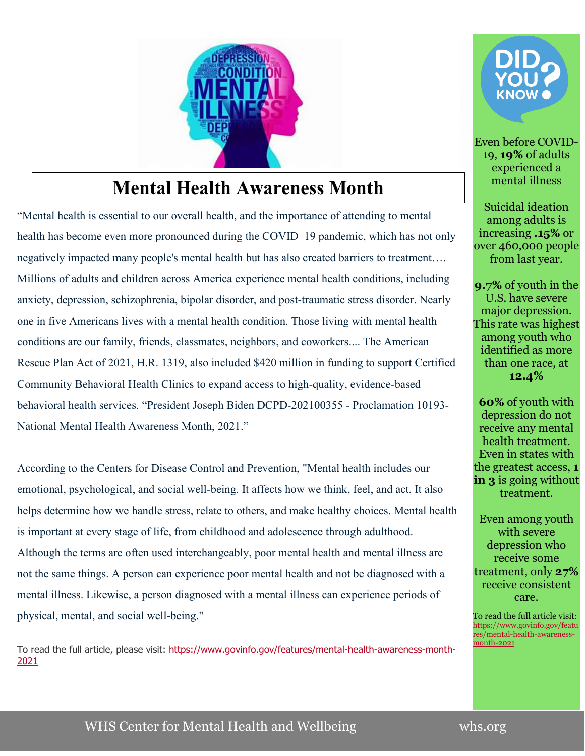

# **Mental Health Awareness Month**

"Mental health is essential to our overall health, and the importance of attending to mental health has become even more pronounced during the COVID–19 pandemic, which has not only negatively impacted many people's mental health but has also created barriers to treatment…. Millions of adults and children across America experience mental health conditions, including anxiety, depression, schizophrenia, bipolar disorder, and post-traumatic stress disorder. Nearly one in five Americans lives with a mental health condition. Those living with mental health conditions are our family, friends, classmates, neighbors, and coworkers.... [The American](https://www.govinfo.gov/link/bills/117/hr/1319?billversion=mostrecent&link-type=pdf)  [Rescue Plan Act of 2021, H.R. 1319, a](https://www.govinfo.gov/link/bills/117/hr/1319?billversion=mostrecent&link-type=pdf)lso included \$420 million in funding to support Certified Community Behavioral Health Clinics to expand access to high-quality, evidence-based behavioral health services. "President Joseph Biden DCPD-202100355 - [Proclamation 10193-](https://www.govinfo.gov/content/pkg/DCPD-202100355/pdf/DCPD-202100355.pdf) [National Mental Health Awareness Month, 2021.](https://www.govinfo.gov/content/pkg/DCPD-202100355/pdf/DCPD-202100355.pdf)"

According to the [Centers for Disease Control and Prevention,](https://www.cdc.gov/mentalhealth/learn/index.htm) "Mental health includes our emotional, psychological, and social well-being. It affects how we think, feel, and act. It also helps determine how we handle stress, relate to others, and make healthy choices. Mental health is important at every stage of life, from childhood and adolescence through adulthood. Although the terms are often used interchangeably, poor mental health and mental illness are not the same things. A person can experience poor mental health and not be diagnosed with a mental illness. Likewise, a person diagnosed with a mental illness can experience periods of physical, mental, and social well-being."

To read the full article, please visit: [https://www.govinfo.gov/features/mental-health-awareness-month-](https://www.govinfo.gov/features/mental-health-awareness-month-2021)[2021](https://www.govinfo.gov/features/mental-health-awareness-month-2021)



[Even](https://www.bing.com/images/search?view=detailV2&ccid=WQY12FIO&id=186741B6BF438E5A3AD90DC9AB5112EDB657A0F4&thid=OIP.WQY12FIOBWS0hMZynewLzAHaEK&mediaurl=https://greatpeopleinside.com/wp-content/uploads/2020/02/mental-health.jpg&cdnurl=https://th.bing.com/th/id/R.590635d8520e0564b484c6729dec0bcc?rik%3d9KBXtu0SUavJDQ%26pid%3dImgRaw%26r%3d0&exph=720&expw=1280&q=mental+health&simid=608043120321696684&FORM=IRPRST&ck=F43FD349E6DEB941CFA9EA0C1AA8CAD8&selectedIndex=3&adlt=strict) before COVID-19, **19%** of adults experienced a mental illness

Suicidal ideation among adults is increasing **.15%** or over 460,000 people from last year.

**9.7%** of youth in the U.S. have severe major depression. This rate was highest among youth who identified as more than one race, at **12.4%**

**60%** of youth with depression do not receive any mental health treatment. Even in states with the greatest access, **1 in 3** is going without treatment.

Even among youth with severe depression who receive some treatment, only **27%** receive consistent care.

To read the full article visit: [https://www.govinfo.gov/featu](https://www.govinfo.gov/features/mental-health-awareness-month-2021) [res/mental-health-awareness](https://www.govinfo.gov/features/mental-health-awareness-month-2021)[month-2021](https://www.govinfo.gov/features/mental-health-awareness-month-2021)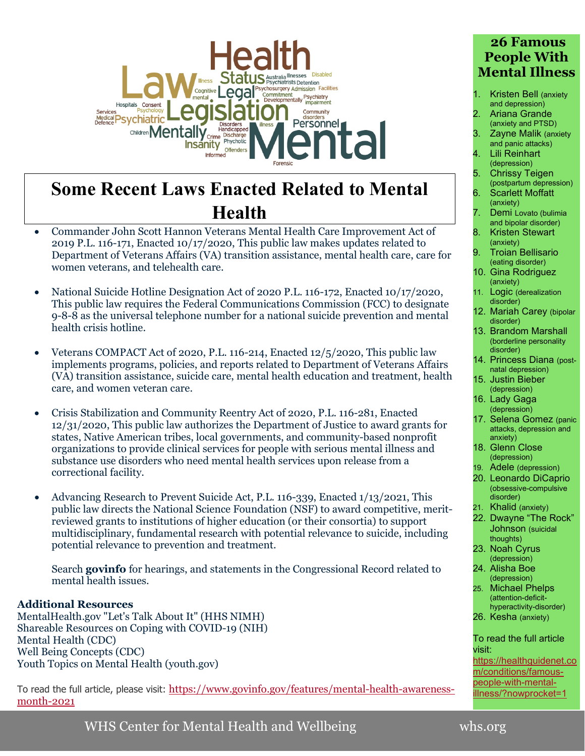

# **Some Recent Laws Enacted Related to Mental Health**

- [Commander John Scott Hannon Veterans Mental Health Care Improvement Act of](https://www.govinfo.gov/content/pkg/PLAW-116publ171/pdf/PLAW-116publ171.pdf)  [2019 P.L. 116-171, Enacted 10/17/2020, T](https://www.govinfo.gov/content/pkg/PLAW-116publ171/pdf/PLAW-116publ171.pdf)his public law makes updates related to Department of Veterans Affairs (VA) transition assistance, mental health care, care for women veterans, and telehealth care.
- National Suicide Hotline Designation Act of 2020 P.L. 116-172, Enacted 10/17/2020, This public law requires the Federal Communications Commission (FCC) to designate 9-8-8 as the universal telephone number for a national suicide prevention and mental health crisis hotline.
- [Veterans COMPACT Act of 2020, P.L. 116-214, Enacted 12/5/2020, T](https://www.govinfo.gov/content/pkg/PLAW-116publ214/pdf/PLAW-116publ214.pdf)his public law implements programs, policies, and reports related to Department of Veterans Affairs (VA) transition assistance, suicide care, mental health education and treatment, health care, and women veteran care.
- [Crisis Stabilization and Community Reentry Act of 2020, P.L. 116-281, Enacted](https://www.govinfo.gov/content/pkg/PLAW-116publ281/pdf/PLAW-116publ281.pdf)  [12/31/2020, T](https://www.govinfo.gov/content/pkg/PLAW-116publ281/pdf/PLAW-116publ281.pdf)his public law authorizes the Department of Justice to award grants for states, Native American tribes, local governments, and community-based nonprofit organizations to provide clinical services for people with serious mental illness and substance use disorders who need mental health services upon release from a correctional facility.
- [Advancing Research to Prevent Suicide Act, P.L. 116-339, Enacted 1/13/2021, T](https://www.govinfo.gov/content/pkg/PLAW-116publ339/pdf/PLAW-116publ339.pdf)his public law directs the National Science Foundation (NSF) to award competitive, meritreviewed grants to institutions of higher education (or their consortia) to support multidisciplinary, fundamental research with potential relevance to suicide, including potential relevance to prevention and treatment.

Search **govinfo** for [hearings, a](https://www.govinfo.gov/app/search/%7B%22facets%22%3A%7B%7D%2C%22filterOrder%22%3A%5B%5D%2C%22facetToExpand%22%3A%22non_existing_facet%22%2C%22offset%22%3A0%2C%22pageSize%22%3A%2210%22%2C%22sortBy%22%3A%222%22%2C%22query%22%3A%22collection%3Achrg%20mental%20health%22%2C%22historical%22%3Afalse%7D)nd [statements in the Congressional Record r](https://www.govinfo.gov/app/search/%7B%22facets%22%3A%7B%7D%2C%22filterOrder%22%3A%5B%5D%2C%22facetToExpand%22%3A%22non_existing_facet%22%2C%22offset%22%3A0%2C%22pageSize%22%3A%2210%22%2C%22sortBy%22%3A%222%22%2C%22query%22%3A%22collection%3Acrec%20mental%20health%22%2C%22historical%22%3Afalse%7D)elated to mental health issues.

#### **Additional Resources**

[MentalHealth.gov "Let's Talk About It" \(HHS NIMH\)](https://www.mentalhealth.gov/basics/what-is-mental-health)  [Shareable Resources on Coping with COVID-19 \(NIH\)](https://www.nimh.nih.gov/get-involved/education-awareness/shareable-resources-on-coping-with-covid-19)  [Mental Health \(CDC\)](https://www.cdc.gov/mentalhealth/index.htm)  [Well Being Concepts \(CDC\)](https://www.cdc.gov/hrqol/wellbeing.htm)  [Youth Topics on Mental Health \(youth.gov\)](https://youth.gov/youth-topics/youth-mental-health) 

To read the full article, please visit: [https://www.govinfo.gov/features/mental-health-awareness](https://www.govinfo.gov/features/mental-health-awareness-month-2021)[month-2021](https://www.govinfo.gov/features/mental-health-awareness-month-2021)

### **26 Famous People With Mental Illness**

- 1. Kristen Bell (anxiety and depression)
- 2. Ariana Grande (anxiety and PTSD)
- 3. Zayne Malik (anxiety and panic attacks)
- 4. Lili Reinhart (depression)
- 5. Chrissy Teigen (postpartum depression)
- 6. Scarlett Moffatt (anxiety)
- 7. Demi Lovato (bulimia
- and bipolar disorder) 8. Kristen Stewart (anxiety)
- 9. Troian Bellisario (eating disorder)
- 10. Gina Rodriguez (anxiety)
- 11. Logic (derealization disorder)
- 12. Mariah Carey (bipolar disorder)
- 13. Brandom Marshall (borderline personality disorder)
- 14. Princess Diana (postnatal depression)
- 15. Justin Bieber (depression) 16. Lady Gaga
- (depression)
- 17. Selena Gomez (panic attacks, depression and anxiety)
- 18. Glenn Close (depression)
- 19. Adele (depression) 20. Leonardo DiCaprio (obsessive-compulsive disorder)
- 21. Khalid (anxiety)
- 22. Dwayne "The Rock" Johnson (suicidal thoughts)
- 23. Noah Cyrus (depression)
- 24. Alisha Boe (depression)
- 25. Michael Phelps (attention-deficithyperactivity-disorder)
- 26. Kesha (anxiety)

#### To read the full article visit:

[https://healthguidenet.co](https://healthguidenet.com/conditions/famous-people-with-mental-illness/?nowprocket=1) [m/conditions/famous](https://healthguidenet.com/conditions/famous-people-with-mental-illness/?nowprocket=1)[people-with-mental](https://healthguidenet.com/conditions/famous-people-with-mental-illness/?nowprocket=1)[illness/?nowprocket=1](https://healthguidenet.com/conditions/famous-people-with-mental-illness/?nowprocket=1)

WHS Center for Mental Health and Wellbeing whs.org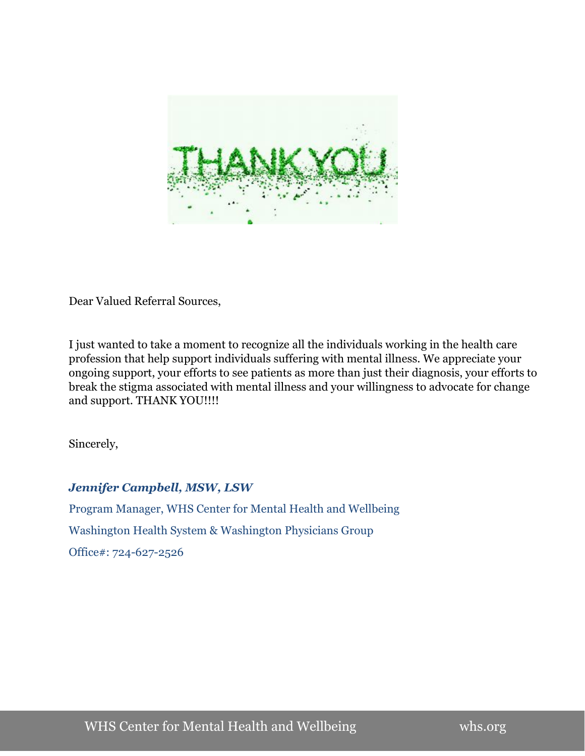

Dear Valued Referral Sources,

I just wanted to take a moment to recognize all the individuals working in the health care profession that help support individuals suffering with mental illness. We appreciate your ongoing support, your efforts to see patients as more than just their diagnosis, your efforts to break the stigma associated with mental illness and your willingness to advocate for change and support. THANK YOU!!!!

Sincerely,

#### *Jennifer Campbell, MSW, LSW*

Program Manager, WHS Center for Mental Health and Wellbeing Washington Health System & Washington Physicians Group Office#: 724-627-2526